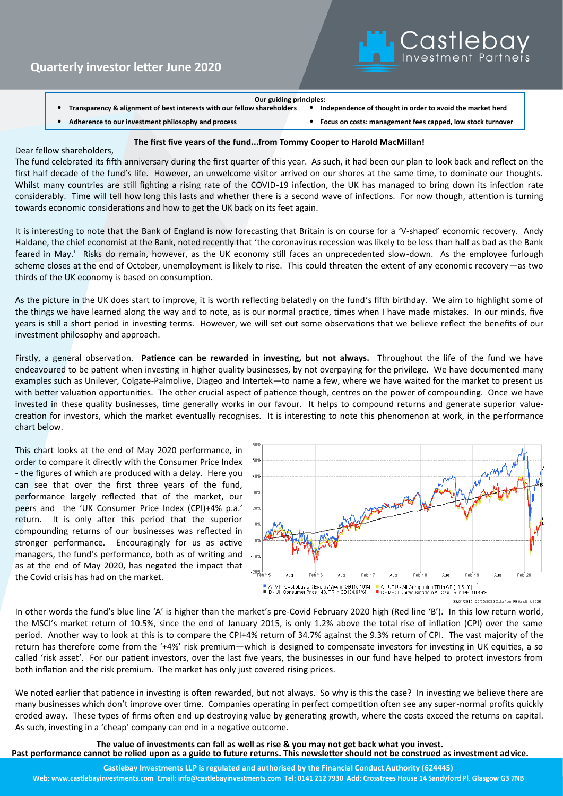

| Our guiding principles: |  |  |  |  |
|-------------------------|--|--|--|--|
|-------------------------|--|--|--|--|

• **Transparency & alignment of best interests with our fellow shareholders** • **Independence of thought in order to avoid the market herd**

• **Adherence to our investment philosophy and process** • **Focus on costs: management fees capped, low stock turnover**

#### **The first five years of the fund...from Tommy Cooper to Harold MacMillan!**

### Dear fellow shareholders,

The fund celebrated its fifth anniversary during the first quarter of this year. As such, it had been our plan to look back and reflect on the first half decade of the fund's life. However, an unwelcome visitor arrived on our shores at the same time, to dominate our thoughts. Whilst many countries are still fighting a rising rate of the COVID-19 infection, the UK has managed to bring down its infection rate considerably. Time will tell how long this lasts and whether there is a second wave of infections. For now though, attention is turning towards economic considerations and how to get the UK back on its feet again.

It is interesting to note that the Bank of England is now forecasting that Britain is on course for a 'V-shaped' economic recovery. Andy Haldane, the chief economist at the Bank, noted recently that 'the coronavirus recession was likely to be less than half as bad as the Bank feared in May.' Risks do remain, however, as the UK economy still faces an unprecedented slow-down. As the employee furlough scheme closes at the end of October, unemployment is likely to rise. This could threaten the extent of any economic recovery—as two thirds of the UK economy is based on consumption.

As the picture in the UK does start to improve, it is worth reflecting belatedly on the fund's fifth birthday. We aim to highlight some of the things we have learned along the way and to note, as is our normal practice, times when I have made mistakes. In our minds, five years is still a short period in investing terms. However, we will set out some observations that we believe reflect the benefits of our investment philosophy and approach.

Firstly, a general observation. **Patience can be rewarded in investing, but not always.** Throughout the life of the fund we have endeavoured to be patient when investing in higher quality businesses, by not overpaying for the privilege. We have documented many examples such as Unilever, Colgate-Palmolive, Diageo and Intertek—to name a few, where we have waited for the market to present us with better valuation opportunities. The other crucial aspect of patience though, centres on the power of compounding. Once we have invested in these quality businesses, time generally works in our favour. It helps to compound returns and generate superior valuecreation for investors, which the market eventually recognises. It is interesting to note this phenomenon at work, in the performance chart below.

This chart looks at the end of May 2020 performance, in order to compare it directly with the Consumer Price Index - the figures of which are produced with a delay. Here you can see that over the first three years of the fund, performance largely reflected that of the market, our peers and the 'UK Consumer Price Index (CPI)+4% p.a.' return. It is only after this period that the superior compounding returns of our businesses was reflected in stronger performance. Encouragingly for us as active managers, the fund's performance, both as of writing and as at the end of May 2020, has negated the impact that the Covid crisis has had on the market.



In other words the fund's blue line 'A' is higher than the market's pre-Covid February 2020 high (Red line 'B'). In this low return world, the MSCI's market return of 10.5%, since the end of January 2015, is only 1.2% above the total rise of inflation (CPI) over the same period. Another way to look at this is to compare the CPI+4% return of 34.7% against the 9.3% return of CPI. The vast majority of the return has therefore come from the '+4%' risk premium—which is designed to compensate investors for investing in UK equities, a so called 'risk asset'. For our patient investors, over the last five years, the businesses in our fund have helped to protect investors from both inflation and the risk premium. The market has only just covered rising prices.

We noted earlier that patience in investing is often rewarded, but not always. So why is this the case? In investing we believe there are many businesses which don't improve over time. Companies operating in perfect competition often see any super-normal profits quickly eroded away. These types of firms often end up destroying value by generating growth, where the costs exceed the returns on capital. As such, investing in a 'cheap' company can end in a negative outcome.

**The value of investments can fall as well as rise & you may not get back what you invest. Past performance cannot be relied upon as a guide to future returns. This newsletter should not be construed as investment advice.**